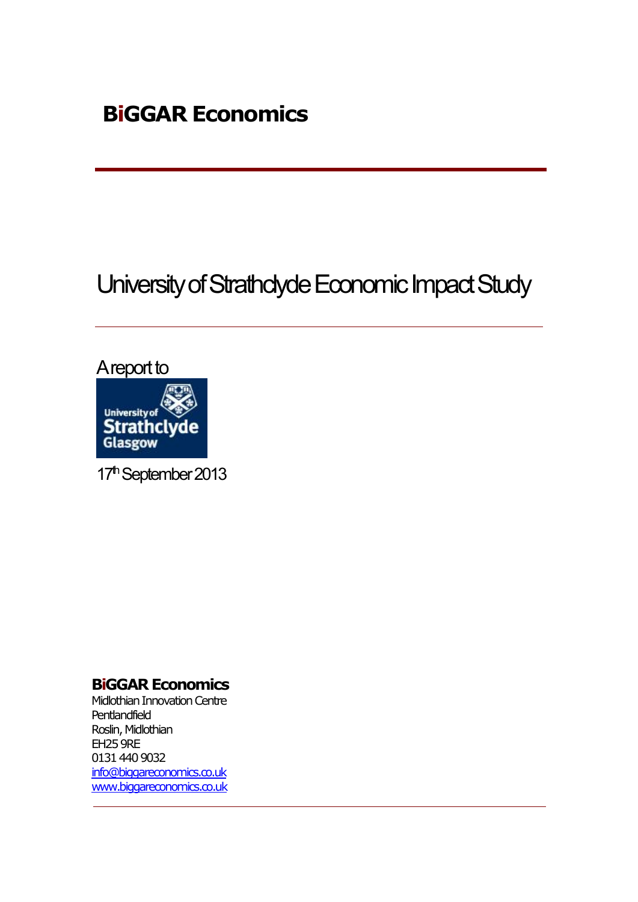# University of Strathclyde Economic Impact Study



17<sup>th</sup> September 2013

### **BiGGAR Economics**

Midlothian Innovation Centre **Pentlandfield** Roslin, Midlothian EH25 9RE 0131 440 9032 [info@biggareconomics.co.uk](mailto:info@biggareconomics.co.uk) [www.biggareconomics.co.uk](http://www.biggareconomics.co.uk/)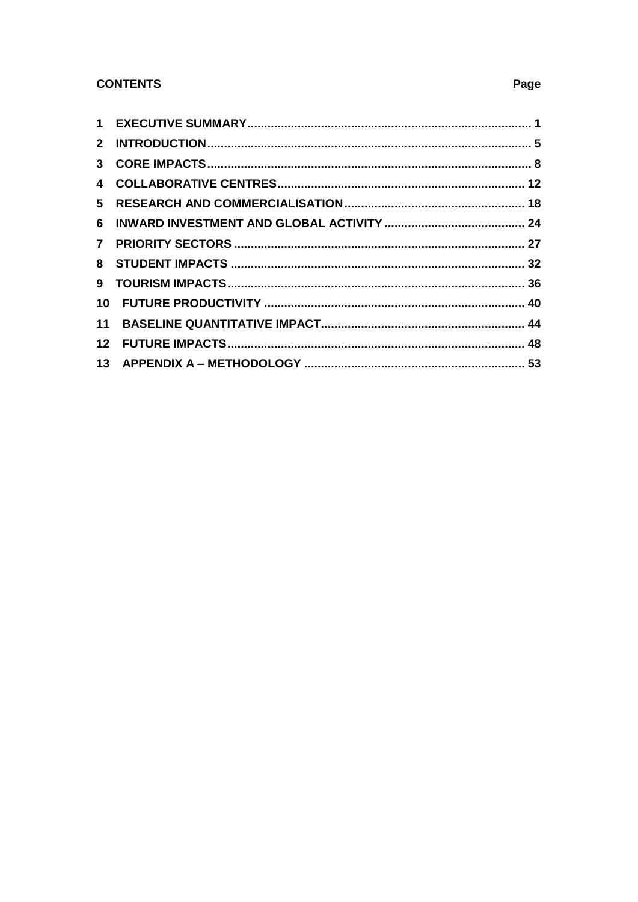#### **CONTENTS**

| 5 |  |
|---|--|
|   |  |
|   |  |
|   |  |
| 9 |  |
|   |  |
|   |  |
|   |  |
|   |  |

#### Page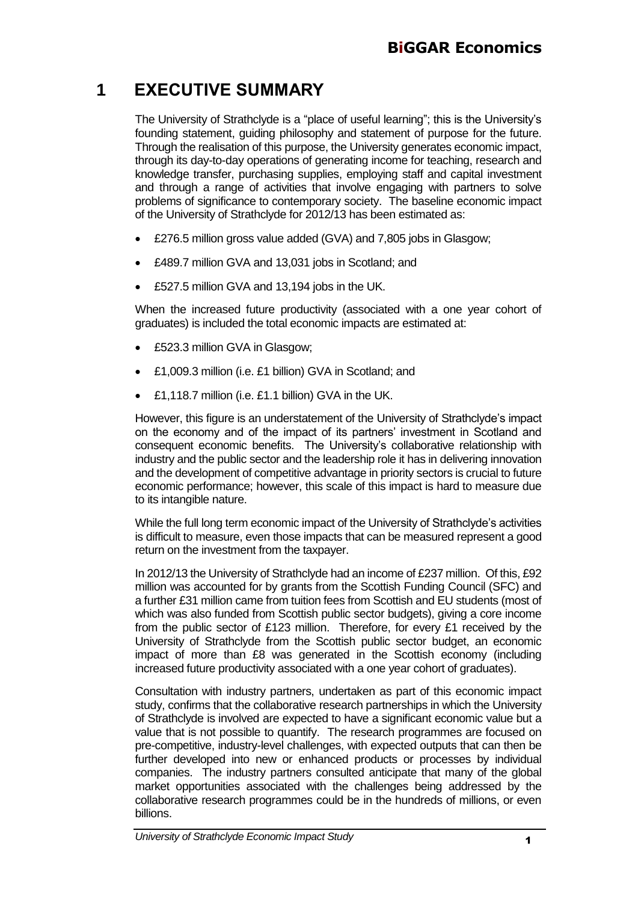## **1 EXECUTIVE SUMMARY**

The University of Strathclyde is a "place of useful learning"; this is the University's founding statement, guiding philosophy and statement of purpose for the future. Through the realisation of this purpose, the University generates economic impact, through its day-to-day operations of generating income for teaching, research and knowledge transfer, purchasing supplies, employing staff and capital investment and through a range of activities that involve engaging with partners to solve problems of significance to contemporary society. The baseline economic impact of the University of Strathclyde for 2012/13 has been estimated as:

- £276.5 million gross value added (GVA) and 7,805 jobs in Glasgow;
- £489.7 million GVA and 13,031 jobs in Scotland; and
- £527.5 million GVA and 13,194 jobs in the UK.

When the increased future productivity (associated with a one year cohort of graduates) is included the total economic impacts are estimated at:

- £523.3 million GVA in Glasgow;
- £1,009.3 million (i.e. £1 billion) GVA in Scotland; and
- £1,118.7 million (i.e. £1.1 billion) GVA in the UK.

However, this figure is an understatement of the University of Strathclyde's impact on the economy and of the impact of its partners' investment in Scotland and consequent economic benefits. The University's collaborative relationship with industry and the public sector and the leadership role it has in delivering innovation and the development of competitive advantage in priority sectors is crucial to future economic performance; however, this scale of this impact is hard to measure due to its intangible nature.

While the full long term economic impact of the University of Strathclyde's activities is difficult to measure, even those impacts that can be measured represent a good return on the investment from the taxpayer.

In 2012/13 the University of Strathclyde had an income of £237 million. Of this, £92 million was accounted for by grants from the Scottish Funding Council (SFC) and a further £31 million came from tuition fees from Scottish and EU students (most of which was also funded from Scottish public sector budgets), giving a core income from the public sector of £123 million. Therefore, for every £1 received by the University of Strathclyde from the Scottish public sector budget, an economic impact of more than £8 was generated in the Scottish economy (including increased future productivity associated with a one year cohort of graduates).

Consultation with industry partners, undertaken as part of this economic impact study, confirms that the collaborative research partnerships in which the University of Strathclyde is involved are expected to have a significant economic value but a value that is not possible to quantify. The research programmes are focused on pre-competitive, industry-level challenges, with expected outputs that can then be further developed into new or enhanced products or processes by individual companies. The industry partners consulted anticipate that many of the global market opportunities associated with the challenges being addressed by the collaborative research programmes could be in the hundreds of millions, or even billions.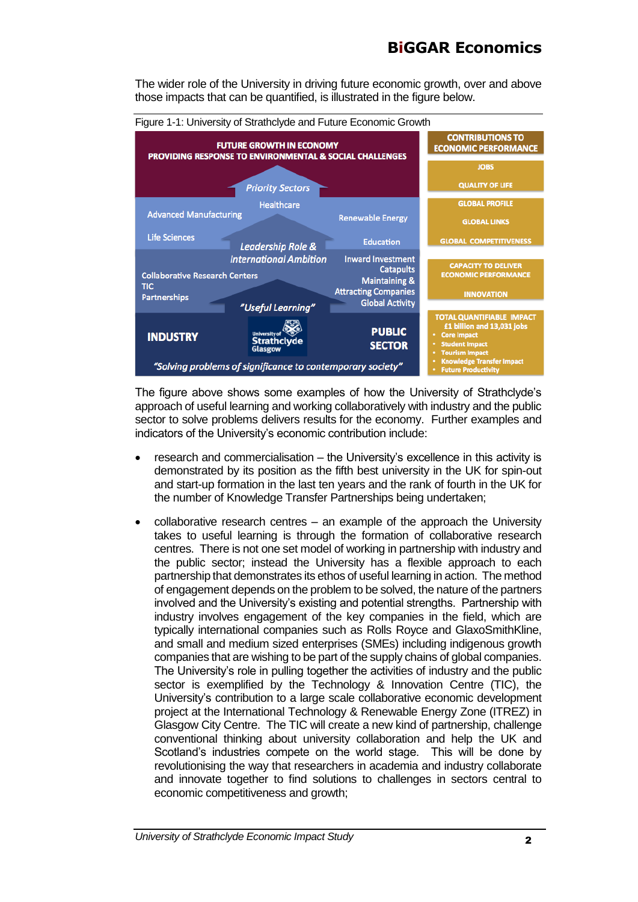## **BiGGAR Economics**

The wider role of the University in driving future economic growth, over and above those impacts that can be quantified, is illustrated in the figure below.



The figure above shows some examples of how the University of Strathclyde's approach of useful learning and working collaboratively with industry and the public sector to solve problems delivers results for the economy. Further examples and indicators of the University's economic contribution include:

- research and commercialisation the University's excellence in this activity is demonstrated by its position as the fifth best university in the UK for spin-out and start-up formation in the last ten years and the rank of fourth in the UK for the number of Knowledge Transfer Partnerships being undertaken;
- collaborative research centres an example of the approach the University takes to useful learning is through the formation of collaborative research centres. There is not one set model of working in partnership with industry and the public sector; instead the University has a flexible approach to each partnership that demonstrates its ethos of useful learning in action. The method of engagement depends on the problem to be solved, the nature of the partners involved and the University's existing and potential strengths. Partnership with industry involves engagement of the key companies in the field, which are typically international companies such as Rolls Royce and GlaxoSmithKline, and small and medium sized enterprises (SMEs) including indigenous growth companies that are wishing to be part of the supply chains of global companies. The University's role in pulling together the activities of industry and the public sector is exemplified by the Technology & Innovation Centre (TIC), the University's contribution to a large scale collaborative economic development project at the International Technology & Renewable Energy Zone (ITREZ) in Glasgow City Centre. The TIC will create a new kind of partnership, challenge conventional thinking about university collaboration and help the UK and Scotland's industries compete on the world stage. This will be done by revolutionising the way that researchers in academia and industry collaborate and innovate together to find solutions to challenges in sectors central to economic competitiveness and growth;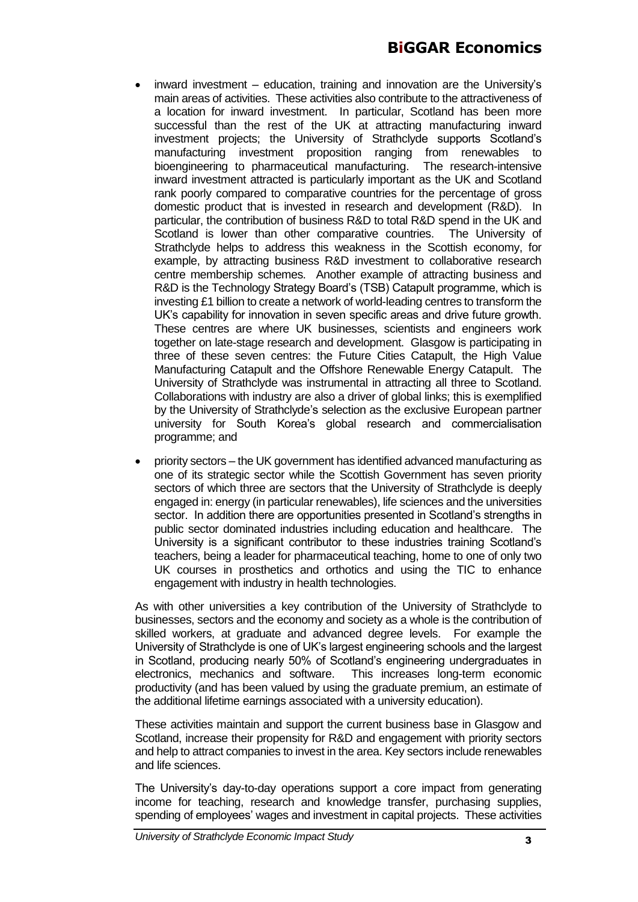- inward investment education, training and innovation are the University's main areas of activities. These activities also contribute to the attractiveness of a location for inward investment. In particular, Scotland has been more successful than the rest of the UK at attracting manufacturing inward investment projects; the University of Strathclyde supports Scotland's manufacturing investment proposition ranging from renewables to bioengineering to pharmaceutical manufacturing. The research-intensive inward investment attracted is particularly important as the UK and Scotland rank poorly compared to comparative countries for the percentage of gross domestic product that is invested in research and development (R&D). In particular, the contribution of business R&D to total R&D spend in the UK and Scotland is lower than other comparative countries. The University of Strathclyde helps to address this weakness in the Scottish economy, for example, by attracting business R&D investment to collaborative research centre membership schemes. Another example of attracting business and R&D is the Technology Strategy Board's (TSB) Catapult programme, which is investing £1 billion to create a network of world-leading centres to transform the UK's capability for innovation in seven specific areas and drive future growth. These centres are where UK businesses, scientists and engineers work together on late-stage research and development. Glasgow is participating in three of these seven centres: the Future Cities Catapult, the High Value Manufacturing Catapult and the Offshore Renewable Energy Catapult. The University of Strathclyde was instrumental in attracting all three to Scotland. Collaborations with industry are also a driver of global links; this is exemplified by the University of Strathclyde's selection as the exclusive European partner university for South Korea's global research and commercialisation programme; and
- priority sectors the UK government has identified advanced manufacturing as one of its strategic sector while the Scottish Government has seven priority sectors of which three are sectors that the University of Strathclyde is deeply engaged in: energy (in particular renewables), life sciences and the universities sector. In addition there are opportunities presented in Scotland's strengths in public sector dominated industries including education and healthcare. The University is a significant contributor to these industries training Scotland's teachers, being a leader for pharmaceutical teaching, home to one of only two UK courses in prosthetics and orthotics and using the TIC to enhance engagement with industry in health technologies.

As with other universities a key contribution of the University of Strathclyde to businesses, sectors and the economy and society as a whole is the contribution of skilled workers, at graduate and advanced degree levels. For example the University of Strathclyde is one of UK's largest engineering schools and the largest in Scotland, producing nearly 50% of Scotland's engineering undergraduates in electronics, mechanics and software. This increases long-term economic productivity (and has been valued by using the graduate premium, an estimate of the additional lifetime earnings associated with a university education).

These activities maintain and support the current business base in Glasgow and Scotland, increase their propensity for R&D and engagement with priority sectors and help to attract companies to invest in the area. Key sectors include renewables and life sciences.

The University's day-to-day operations support a core impact from generating income for teaching, research and knowledge transfer, purchasing supplies, spending of employees' wages and investment in capital projects. These activities